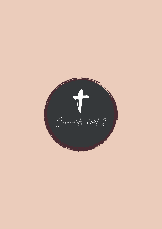Covenants Part 2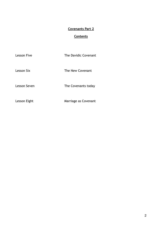# **Covenants Part 2**

# **Contents**

| <b>Lesson Five</b> |  |
|--------------------|--|
|                    |  |

The Davidic Covenant

Lesson Six **The New Covenant** 

Lesson Seven The Covenants today

Lesson Eight Marriage as Covenant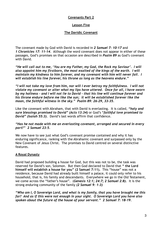# **Covenants Part 2**

# **Lesson Five**

## **The Davidic Covenant**

The covenant made by God with David is recorded in *2 Samuel 7: 10-17* and *1 Chronicles 17: 11-14*. Although the word covenant does not appear in either of these passages, God's promises on that occasion are described in *Psalm 89* as God's covenant with David.

*"He will call out to me, 'You are my Father, my God, the Rock my Saviour'. I will also appoint him my firstborn, the most exalted of the kings of the earth. I will maintain my kindness to him forever, and my covenant with him will never fail. I will establish his line forever, his throne as long as the heavens endure."*

*"I will not take my love from him, nor will I ever betray my faithfulness. I will not violate my covenant or alter what my lips have uttered. Once for all, I have sworn by my holiness - and I will not lie to David - that his line will continue forever and his throne endure before me like the sun; it will be established forever like the moon, the faithful witness in the sky." Psalm 89: 26-29, 33-35.*

Like the covenant with Abraham, that with David is everlasting. It is called, *"holy and sure blessings promised to David" (Acts 13:34)* or God's "*faithful love promised to David" (Isaiah 55:3).* David's last words affirm that confidence.

*"Has he not made with me an everlasting covenant, arranged and secured in every part?" 2 Samuel 23:5.*

We now have to see just what God's covenant promise contained and why it has enduring significance, ranking with the Abrahamic covenant and surpassed only by the New Covenant of Jesus Christ. The promises to David centred on several distinctive features.

### **A Royal Dynasty**

David had proposed building a house for God, but this was not to be, the task was reserved for David's son, Solomon. But then God declared to David that **" the Lord himself will establish a house for you" (2 Samuel 7:11).** This "house" was not a residence, because David had already built himself a palace, it could only refer to his household, that is, his family and descendants. Everywhere we go in the Old Testament, we come across the "father's house". (*Genesis 12:1; 24:7; 2 Samuel 2:8).* It is the strong enduring community of the family *(2 Samuel 9: 1-3)*

*"Who am I, O Sovereign Lord, and what is my family, that you have brought me this far? And as if this were not enough in your sight. O Sovereign Lord you have also spoken about the future of the house of your servant." 2 Samuel 7: 18-19.*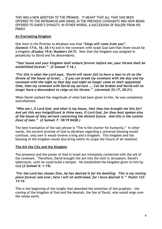THIS WAS A NEW ADDITION TO THE PROMISE. IT MEANT THAT ALL THAT HAD BEEN OFFERED TO THE PATRIARCHS AND ISRAEL IN THE PREVIOUS COVENANTS WAS NOW BEING OFFERED TO DAVID'S DYNASTY, IN OTHER WORDS, A SUCCESSION OF RULERS FROM HIS FAMILY.

## **An Everlasting Kingdom**

One item in the Promise to Abraham was that *"kings will come from you". (Genesis 17:6, 16; 35:11)* and in the covenant with Israel God said that there would be a kingdom *(Exodus 19:6; Numbers 24:7).* Now that the kingdom was assigned in perpetuity to David and his descendants.

*"Your house and your kingdom shall endure forever before me; your throne shall be established forever." (2 Samuel 7:16.)*

*"For this is what the Lord says, 'David will never fail to have a man to sit on the throne of the house of Israel, … if you can break my covenant with the day and my covenant with the night so that day and night no longer come at their appointed time, then my covenant with David my servant …. Can be broken and David will no longer have a descendant to reign on his throne." (Jeremiah 33:17, 20-21).*

When David realised the magnitude of what had been given to him, he was completely overwhelmed.

*"Who am I, O Lord God, and what is my house, that thou has brought me this far? And yet this was insignificant in thine eyes, O Lord God, for thou hast spoken also of the house of they servant concerning the distant future. And this is the custom (law) of man." (2 Samuel 7: 18/19 NASB.)*

The best translation of the last phrase is "The is the charter for humanity." In other words, the ancient promise of God to Abraham regarding a universal blessing would continue, only now it would involve a king and a kingdom. This kingdom and the blessing of the kingdom would also bring within its scope the future of all mankind.

### **The Ark the City and the Kingdom**

The presence and the power of God in Israel are intimately connected with the ark of the covenant. Therefore, David brought the ark into the tent in Jerusalem, David's tabernacle, until he could build a temple. He established the kingdom given to him by God *(2 Samuel 6: 1-19).*

#### *"For the Lord has chosen Zion, he has desired it for his dwelling: This is my resting place forever and ever; here I will sit enthroned, for I have desired it." Psalm 132: 13-14.*

This is the beginning of the insight that absorbed the attention of the prophets - the coming of the kingdom of God and the Messiah, the Son of David, who would reign over the whole earth.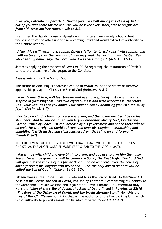#### *"But you, Bethlehem Ephrathah, though you are small among the clans of Judah, out of you will come for me one who will be ruler over Israel, whose origins are from old, from ancient times." Micah 5:2.*

Even when the Davidic house or dynasty was in tatters, now merely a hut or tent, it would rise from the ashes under a new coming David and would extend its authority to the Gentile nations.

*"After this I will return and rebuild David's fallen tent. Its' ruins I will rebuild, and I will restore it, that the remnant of men may seek the Lord, and all the Gentiles who bear my name, says the Lord, who does these things." (Acts 15: 16-17).*

James is applying the prophesy of *Amos 9: 11-12* regarding the restoration of David's tent to the preaching of the gospel to the Gentiles.

### **A Messianic King - The Son of God**

The future Davidic king is addressed as God in *Psalm 45*, and the writer of Hebrews applies this passage to Christ, the Son of God *(Hebrews 1: 8-9).*

*"Your throne, O God, will last forever and ever, a sceptre of justice will be the sceptre of your kingdom. You love righteousness and hate wickedness; therefore God, your God, has set you above your companions by anointing you with the oil of joy." (Psalm 45: 6-7)*

*"For to us a child is born, to us a son is given, and the government will be on his shoulders. And he will be called Wonderful Counsellor, Mighty God, Everlasting Father, Prince of Peace. Of the increase of his government and peace there will be no end. He will reign on David's throne and over his kingdom, establishing and upholding it with justice and righteousness from that time on and forever." (Isaiah 9: 6-7)*

THE FULFILMENT OF THE COVENANT WITH DAVID CAME WITH THE BIRTH OF JESUS CHRIST. AS THE ANGEL GABRIEL MADE VERY CLEAR TO THE VIRGIN MARY.

*"You will be with child and give birth to a son, and you are to give him the name Jesus. He will be great and will be called the Son of the Most High. The Lord God will give him the throne of his father David, and he will reign over the house of Jacob forever; his kingdom will never end ….. So the holy one to be born will be called the Son of God." (Luke 1: 31-33, 35).*

Fifteen times in the Gospels, Jesus is referred to as the Son of David. In *Matthew 1:1,*  he is *"Jesus Christ, the son of David, the son of Abraham,"* establishing his identity as the Abrahamic - Davdic Messiah and legal heir of David's throne. In *Revelation 5:5,* He is the *"Lion of the tribe of Judah, the Root of David,"* and in *Revelation 22:16 "The Root of the Offspring of David, and the bright Morning Star."* He holds the *"key of David" (Revelation 3:7),* that is, the authority of the Davidic kingdom, which is the authority to prevail against the kingdom of Satan *(Luke 10: 18-19).*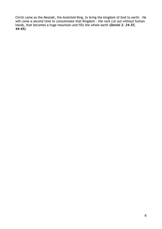Christ came as the Messiah, the Anointed King, to bring the kingdom of God to earth. He will come a second time to consummate that Kingdom - the rock cut out without human hands, that becomes a huge mountain and fills the whole earth (*Daniel 2: 34-35; 44-45).*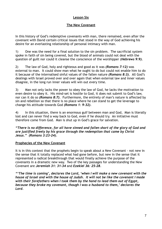## **Lesson Six**

## **The New Covenant**

In this history of God's redemptive covenants with man, there remained, even after the covenant with David certain critical issues that stood in the way of God achieving his desire for an everlasting relationship of personal intimacy with man.

1) One was the need for a final solution to the sin problem. The sacrificial system spoke in faith of sin being covered, but the blood of animals could not deal with the question of guilt nor could it cleanse the conscience of the worshipper (*Hebrews 9:9).*

2) The law of God, holy and righteous and good as it was *(Romans 7:12)* was external to man. It could show man what he ought to do but could not enable him to do it because of the internalised sinful values of the fallen nature *(Romans 8:3).* All God's dealings with Israel proved over and over again that when external law and inner values disagree, in the long run inner values will win out every time.

3) Man not only lacks the power to obey the law of God, he lacks the motivation to even desire to obey it. His mind-set is hostile to God, it does not submit to God's law, nor can it do so *(Romans 8:7).* Furthermore, the entirety of man's nature is affected by sin and rebellion so that there is no place where he can stand to get the leverage to change his attitude towards God *(Romans 1: 9-32).*

4) In this situation, there is an enormous gulf between man and God, Man is literally lost and can never find a way back to God, even if he should try. An initiative must therefore come from God. Man is shut up in God's grace for salvation.

*"There is no difference, for all have sinned and fallen short of the glory of God and are justified freely by his grace through the redemption that came by Christ Jesus." (Romans 3:23-24).*

### **Prophecies of the New Covenant**

It is in this context that the prophets begin to speak about a New Covenant - not new in the sense that it totally replaced what had gone before, but new in the sense that it represented a radical breakthrough that would finally achieve the purpose of the covenants in a dramatic new way. Two of the key passages for understanding the New Covenant are *Jeremiah 31: 31-34* and *Ezekiel 36: 25-28.*

*"'The time is coming', declares the Lord, 'when I will make a new covenant with the house of Israel and with the house of Judah. It will not be like the covenant I made with their forefathers when I took them by the hand to lead them out of Egypt, because they broke my covenant, though I was a husband to them,' declares the Lord.*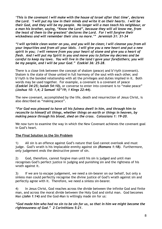*'This is the covenant I will make with the house of Israel after that time', declares the Lord. 'I will put my law in their minds and write it on their hearts. I will be their God, and they will be my people. No longer will a man teach his neighbour, or a man his brother, saying, "Know the Lord", because they will all know me, from the least of them to the greatest' declares the Lord. For I will forgive their wickedness and will remember their sins no more.'" Jeremiah 31: 31-34*

*"I will sprinkle clean water on you, and you will be clean; I will cleanse you from all your impurities and from all your idols. I will give you a new heart and put a new spirit in you; I will remove from you your heart of stone and give you a heart of flesh. And I will put my Spirit in you and move you to follow my decrees and be careful to keep my laws. You will live in the land I gave your forefathers; you will be my people, and I will be your God." Ezekiel 36: 25-28.*

There is a close link between the concept of shalom (peace) and b'riyth (covenant). Shalom is the state of those united in full harmony of the soul with each other, and b'riyth is the bonded relationship with all the privileges and duties implied in it. Both words may be used together. For example, a covenant is a covenant of peace (*Ezekiel 34:25; Isaiah 54:10),* or converse to enter into covenant is to "make peace" *(Joshua 10: 1,4; 2 Samuel 10"19; 1 Kings 22:44).*

The new covenant, accomplished by the life, death and resurrection of Jesus Christ, is also described as "making peace".

#### *"For God was pleased to have all his fulness dwell in him, and through him to reconcile to himself all things, whether things on earth or things in heaven, by making peace through his blood, shed on the cross. Colossians 1: 19-20.*

We now turn to examine the way in which the New Covenant achieves the covenant goal in God's heart.

### **The Final Solution to the Sin Problem**

1) All sin is an offence against God's nature that God cannot overlook and must judge. God's wrath is his implacable enmity against sin *(Romans 1:18).* Furthermore, only judgement ends the destructive power of sin.

2) God, therefore, cannot forgive man until his sin is judged and until man recognises God's perfect justice in judging and punishing sin and the rightness of his wrath against it.

3) If we are to escape judgement, we need a sin-bearer on our behalf, but only a sinless man could perfectly recognise the divine justice of God's wrath against sin and perfectly agree with it. Therefore, we need a sinless sin-bearer.

4) In Jesus Christ, God reaches across the divide between the infinite God and finite man, and across the moral divide between the Holy God and sinful man. God becomes Man *(John 1:14)* and the God-Man is willingly made sin for us:

*"God made him who had no sin to be sin for us, so that in him we might become the righteousness of God." 2 Corinthians 5:21.*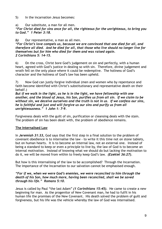5) In the incarnation Jesus becomes:

### a) Our substitute, a man for all men.

*"For Christ died for sins once for all, the righteous for the unrighteous, to bring you to God." 1 Peter 3:18.*

## *b)* Our representative, a man as all men.

*"For Christ's love compels us, because we are convinced that one died for all, and therefore all died. And he died for all, that those who live should no longer live for themselves but for him who died for them and was raised again. 2 Corinthians 5: 14-15.*

6) On the cross, Christ bore God's judgement on sin and perfectly, with a human heart, agreed with God's justice in dealing so with sin. Therefore, divine judgement and wrath fell on the only place where it could be redemptive. The holiness of God's character and the holiness of God's law has been upheld.

7) Now God can justly forgive individual (men and women who by repentance and faith become identified with Christ's substitutionary and representative death on their behalf.)

*But if we walk in the light, as he is in the light, we have fellowship with one another, and the blood of Jesus, his Son, purifies us from all sin. If we claim to be without sin, we deceive ourselves and the truth is not in us. If we confess our sins, he is faithful and just and will forgive us our sins and purify us from all unrighteousness." 1 John 1: 7-9.*

Forgiveness deals with the guilt of sin, purification or cleansing deals with the stain. The problem of sin has been dealt with, the problem of obedience remains.

# **The Internalised Law**

In *Jeremiah 31:33,* God says that the first step in a final solution to the problem of covenant obedience is to internalise the law - to write it this time not on stone tablets, but on human hearts. It is to become an internal law, not an external one. Instead of being a standard to keep or even a principle to live by, the law of God is to become an internal motivation. Instead of knowing what we should do but lacking the motivation to do it, we will be moved from within to freely keep God's law. *(Ezekiel 36:27).*

But how is this internalising of the law to be accomplished? Through the Incarnation. The importance of the Incarnation to our salvation cannot be emphasised enough.

### *"For if we, when we were God's enemies, we were reconciled to him through the death of his Son, how much more, having been reconciled, shall we be saved through his life." Romans 5:10.*

Jesus is called by Paul "the last Adam" *(1 Corinthians 15:45).* He came to create a new beginning for man. As the progenitor of New Covenant man, he had to fulfil in his human life the promises of the New Covenant. His death solved the problem of guilt and forgiveness, but his life was the vehicle whereby the law of God was internalised.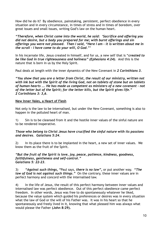How did he do it? By obedience, painstaking, persistent, perfect obedience in every situation and in every circumstance, in times of stress and in times of boredom, over great issues and small issues, writing God's law on the human heart.

*"Therefore, when Christ came into the world, he said: 'Sacrifice and offering you did not desire, but a body you prepared for me; with burnt offerings and sin offerings you were not pleased. Then I said, "Here I am - it is written about me in the scroll - I have come to do your will, O God."'*

In his incarnate life, Jesus created in himself, and for us, a new self that is "*created to be like God in true righteousness and holiness" (Ephesians 4:24).* And this is the nature that is born in us by the Holy Spirit.

Paul deals at length with the inner dynamics of the New Covenant in *2 Corinthians 3.*

*"You show that you are a letter from Christ, the result of our ministry, written not with ink but with the Spirit of the living God, not on tablets of stone but on tablets of human hearts …. He has made us competent as ministers of a new covenant - not of the letter but of the Spirit; for the letter kills, but the Spirit gives life." 2 Corinthians 3: 3,6.*

# **New Inner Vales, a Heart of Flesh**

Not only is the law to be internalised, but under the New Covenant, something is also to happen in the polluted heart of man.

1) Sin is to be cleansed from it and the hostile inner values of the sinful nature are to be rendered inoperative.

### *Those who belong to Christ Jesus have crucified the sinful nature with its passions and desires. Galatians 5:24.*

2) In its place there is to be implanted in the heart, a new set of inner values. We know them as the fruit of the Spirit.

#### *"But the fruit of the Spirit is love, joy, peace, patience, kindness, goodness, faithfulness, gentleness and self-control." Galatians 5: 22-23.*

3) *"Against such things, "*Paul says, *there is no law",* or put another way. *"The law of God is not against such things."* On the contrary, these inner values are in perfect harmony and concord with the internalised law.

4) In the life of Jesus, the result of this perfect harmony between inner values and internalised law was perfect obedience. Out of this perfect obedience came perfect freedom. In other words, Jesus was free to do spontaneously whatever he liked, because the value system which guided his preferences or desires was in every situation what the law of God or the will of his Father was. It was in his heart so that he spontaneously and freely lived in it, knowing that what pleased him was always what would please the Father **(John 8:29).**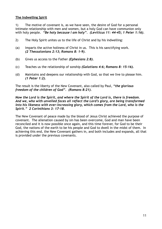### **The Indwelling Spirit**

1) The motive of covenant is, as we have seen, the desire of God for a personal intimate relationship with men and women, but a holy God can have communion only with holy people. *"Be holy because I am holy". (Leviticus 11: 44-45; 1 Peter 1:16).*

- 2) The Holy Spirit unites us to the life of Christ and by his indwelling:
- (a) Imparts the active holiness of Christ in us. This is his sanctifying work. *(2 Thessalonians 2:13; Romans 8: 1-9).*
- (b) Gives us access to the Father *(Ephesians 2:8).*
- (c) Teaches us the relationship of sonship *(Galatians 4:6; Romans 8: 15-16).*
- (d) Maintains and deepens our relationship with God, so that we live to please him. *(1 Peter 1:2).*

The result is the liberty of the New Covenant, also called by Paul, *"the glorious freedom of the children of God". (Romans 8:21).*

*Now the Lord is the Spirit, and where the Spirit of the Lord is, there is freedom. And we, who with unveiled faces all reflect the Lord's glory, are being transformed into his likeness with ever-increasing glory, which comes from the Lord, who is the Spirit." 2 Corinthians 3: 17-18.*

The New Covenant of peace made by the blood of Jesus Christ achieved the purpose of covenant. The alienation caused by sin has been overcome, God and man have been reconciled and it is now possible once again, and this time forever, for God to be their God, the nations of the earth to be his people and God to dwell in the midst of them. In achieving this end, the New Covenant gathers in, and both includes and expands, all that is provided under the previous covenants.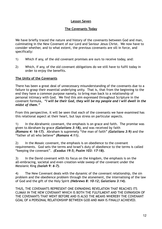# **Lesson Seven**

### **The Covenants Today**

We have briefly traced the nature and history of the covenants between God and man, culminating in the New Covenant of our Lord and Saviour Jesus Christ. We now have to consider whether, and to what extent, the previous covenants are sill in force, and specifically:

- 1) Which if any, of the old covenant promises are ours to receive today, and:
- 2) Which, if any, of the old covenant obligations do we still have to fulfil today in order to enjoy the benefits.

### **The Unity of the Covenants**

There has been a great deal of unnecessary misunderstanding of the covenants due to a failure to grasp their essential underlying unity. That is, that from the beginning to the end they have a common purpose namely, to bring man back to a relationship of personal intimacy with God. We find this aim expressed throughout Scripture in the covenant formula, *"I will be their God, they will be my people and I will dwell in the midst of them."*

From this perspective, it will be seen that each of the covenants we have examined has this relational aspect at their heart, but lays stress on particular aspects.

1) In the Abrahamic covenant, the emphasis is on grace and faith. The promise was given to Abraham by grace *(Galatians 3:18),* and was received by faith *(Romans 4: 16-17).* Abraham is supremely "the man of faith" *(Galatians 3:9)* and the "father of all who believe" *(Romans 4:11).*

2) In the Mosaic covenant, the emphasis is on obedience to the covenant requirements. God sets the terms and Israel's duty of obedience to the terms is called "keeping the covenant". *(Exodus 19:5; Psalm 103: 17-18).*

3) In the David covenant with its focus on the kingdom, the emphasis is on the all-embracing, societal and even creation-wide sweep of the covenant under the Messianic King *(Isaiah 9: 6-7).*

4) The New Covenant deals with the dynamic of the covenant relationship, the sin problem and the obedience problem through the atonement, the internalising of the law of God and the gift of the Holy Spirit *(Hebrews 8: 10-12; Galatians 3:14).*

THUS, THE COVENANTS REPRESENT ONE EXPANDING REVELATION THAT REACHES ITS CLIMAX IN THE NEW COVENANT WHICH IS BOTH THE FULFILMENT AND THE EXPANSION OF THE COVENANTS THAT WENT BEFORE AND IS ALSO THE MEANS WHEREBY THE COVENANT GOAL OF A PERSONAL RELATIONSHIP BETWEEN GOD AND MAN IS FINALLY ACHIEVED.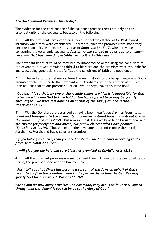## **Are the Covenant Promises Ours Today?**

The evidence for the continuance of the covenant promises rests not only on the essential unity of the covenants but also on the following:

1) All the covenants are everlasting, because that was stated as God's declared intention when they were established. Therefore, once the promises were made they became inviolable. Paul makes this clear in *Galatians 3: 15-17,* when he writes concerning the Abrahamic covenant, *Just as no one can set aside or add to a human covenant that has been duly established, so it is in this case."*

The covenant benefits could be forfeited by disobedience or violating the conditions of the covenant, but God remained faithful to his word and the promises were available for any succeeding generations that fulfilled the conditions of faith and obedience.

2) The writer of the Hebrews affirms the immutability or unchanging nature of God's promises with reference to the covenant with Abraham confirmed with an oath. But then he links that to our present situation. We, he says, have this same hope.

*"God did this so that, by two unchangeable things in which it is impossible for God to lie, we who have fled to take hold of the hope offered to us may be greatly encouraged. We have this hope as an anchor of the soul, firm and secure." Hebrews 6: 18-19.*

3) We, the Gentiles, are described as having been *"excluded from citizenship in Israel and foreigners to the covenants of promise, without hope and without God in the world". (Ephesians 2:12).* But now in Christ Jesus we have been brought near and are *"no longer foreigners and aliens, but fellow citizens with God's people" (Ephesians 2: 13,19).* Thus we inherit the covenants of promise (note the plural), the Abrahamic, Mosaic and David covenant promises.

*"If you belong to Christ, then you are Abraham's seed and heirs according to the promise." Galatians 3:29.*

*"I will give you the holy and sure blessings promised to David". Acts 13:34.*

4) All the covenant promises are said to meet their fulfilment in the person of Jesus Christ, the promised seed and the Davidic King.

*"For I tell you that Christ has become a servant of the Jews on behalf of God's truth, to confirm the promises made to the patriarchs so that the Gentiles may glorify God for his mercy." Romans 15: 8-9.*

*For no matter how many promises God has made, they are 'Yes' in Christ. And so through him the 'Amen' is spoken by us to the glory of God."*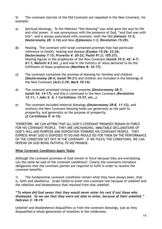5) The covenant mercies of the Old Covenant are repeated in the New Covenant, for example:

- a) Spiritual blessings. To the Hebrews "the blessing" was what gave the soul its life and vital power. It was synonymous with the presence of God, "and God was with him", and is always associated with covenant, both the Old *(Genesis 12:3; Deuteronomy 28: 3-14)* and New *(Ephesians 1:3; Revelation 15:29).*
- *b)* Healing. The covenant with Israel contained promises that had particular reference to health, healing and disease *(Exodus 15:26; 23:26; Deuteronomy 7:15; Proverbs 4: 20-22; Psalm 91:3; 105:37).* Healing figures in the prophecies of the New Covenant *(Isaiah 35:5; 42: 6-7; 61:1; Malachi 4:2 etc.,)* and was in the ministry of Jesus declared to be the fulfilment of those prophecies *(Matthew 8: 16-17).*
- *c)* The covenant contained the promise of blessing for families and children *(Deuteronomy 28:4; Isaiah 59:21)* and children are included in the blessings of the New Covenant *(Acts 2:39; Mark 10:14).*
- d) The covenant promised victory over enemies *(Deuteronomy 28:7; Isaiah 54: 14-17),* and this is continued in the New Covenant *(Revelation 12:11; 1 John 5: 4; 1 Corinthians 15:57, etc.,).*
- e) The covenant included material blessings *(Deuteronomy 28:8, 11-12),* and similarly the New Covenant blessing holds out generosity as the path to prosperity, and generosity as the purpose of prosperity. *(2 Corinthians 9: 6-15).*

THEREFORE, WE CAN AFFIRM THAT ALL GOD'S COVENANT PROMISES REMAIN IN FORCE FOR HIS COVENANT PEOPLE. THEY ARE UNCHANGING, IMMUTABLE DECLARATIONS OF GOD'S WILL AND PURPOSE AND DISPOSITION TOWARDS HIS COVENANT PEOPLE. THEY EXPRESS WHAT GOD IS DISPOSED TO DO AND WOULD DO FOR THEM ON THE PERFORMANCE OF THE CONDITION SET OUT IN THE COVENANT. IF WE FULFIL THE CONDITIONS, WE CAN DEPEND ON GOD BEING FAITHFUL TO HIS PROMISE.

### **What Covenant Conditions Apply Today**

Although the covenant promises of God remain in force because they are everlasting, can the same be said of the covenant conditions? Clearly the covenants introduce obligations that the covenant parties are required to fulfil in order to receive the covenant benefits.

1) The fundamental covenant conditions remain what they have always been, that is, faith and obedience. Israel failed to enter into covenant rest because of unbelief and the rebellion and disobedience that resulted from that unbelief.

*"To whom did God swear that they would never enter his rest if not those who disobeyed. So we see that they were not able to enter, because of their unbelief." Hebrews 3: 18-19.*

Unbelief and disobedience disqualifies us from the covenant blessings, just as they disqualified a whole generation of Israelites in the wilderness.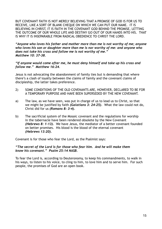BUT COVENANT FAITH IS NOT MERELY BELIEVING THAT A PROMISE OF GOD IS FOR US TO RECEIVE, LIKE A SORT OF BLANK CHEQUE ON WHICH WE CAN PUT OUR NAME. IT IS BELIEVING IN CHRIST, IT IS FAITH IN THE COVENANT GOD BEHIND THE PROMISE, LETTING THE OUTCOME OF OUR WHOLE LIFE AND DESTINY GO OUT OF OUR HANDS INTO HIS. THAT IS WHY IT IS INSEPARABLE FROM RADICAL OBEDIENCE TO CHRIST THE LORD.

*"Anyone who loves his father and mother more than me is not worthy of me; anyone who loves his son or daughter more than me is nor worthy of me: and anyone who does not take his cross and follow me is not worthy of me." Matthew 10: 37-38.*

### *"If anyone would come after me, he must deny himself and take up his cross and follow me." Matthew 16:24.*

Jesus is not advocating the abandonment of family ties but is demanding that where there's a clash of loyalty between the claims of family and the covenant claims of discipleship, the latter takes preference.

- 2) SOME CONDITIONS OF THE OLD COVENANTS ARE, HOWEVER, DECLARED TO BE FOR A TEMPORARY PURPOSE AND HAVE BEEN SUPERSEDED BY THE NEW COVENANT.
- a) The law, as we have seen, was put in charge of us to lead us to Christ, so that we might be justified by faith *(Galatians 3: 24-25).* What the law could not do, Christ did for us *(Romans 8: 3-4).*
- b) The sacrificial system of the Mosaic covenant and the regulations for worship in the tabernacle have been rendered obsolete by the New Covenant *(Hebrews 8: 1-13).* We have Jesus, the mediator of a better covenant founded on better promises. His blood is the blood of the eternal covenant *(Hebrews 13:20).*

Covenant is for those who fear the Lord, as the Psalmist says:

### *"The secret of the Lord is for those who fear him. And he will make them know his covenant." Psalm 25:14 NASB.*

To fear the Lord is, according to Deuteronomy, to keep his commandments, to walk in his ways, to listen to his voice, to cling to him, to love him and to serve him. For such people, the promises of God are an open book.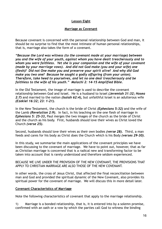## **Lesson Eight**

#### **Marriage as Covenant**

Because covenant is concerned with the personal relationship between God and man, it should be no surprise to find that the most intimate of human personal relationships, that is, marriage also takes the form of a covenant.

*"Because the Lord was witness (to the covenant made at your marriage) between you and the wife of your youth, against whom you have dealt treacherously and to whom you were faithless. Yet she is your companion and the wife of your covenant (made by your marriage vows). And did not God make (you and your wife) one (flesh)? Did not One make you and preserve your spirit alive? And why did God make you two one? Because he sought a godly offspring (from your union). Therefore, take heed to yourselves, and let no one deal treacherously and be faithless to the wife of his youth." Malachi 2: 14-15 Amplified Bible.*

In the Old Testament, the image of marriage is used to describe the covenant relationship between God and Israel. He is a husband to Israel *(Jeremiah 31:32; Hosea 2:7)* and married to the nation *(Isaiah 62:4),* but unfaithful Israel is an adulterous wife *(Ezekiel 16:32; 23: 1-21).*

In the New Testament, the church is the bride of Christ *(Ephesians 5:32)* and the wife of the Lamb *(Revelation 2:9).* In fact, in his teaching on the one flesh of marriage in *Ephesians 5: 25-33,* Paul merges the two images of the church as the bride of Christ and the church as his body. First, husbands should love their wives as Christ loved the Church *(verse 25).*

Second, husbands should love their wives as their own bodies *(verse 28).* Third, a man feeds and cares for his body as Christ does the Church which is his Body *(verses 29-30).*

In this study, we summarise the main applications of the covenant principles we have been discussing to the covenant of marriage. We have to point out, however, that as far as Christian marriage is concerned that is a radical new and transforming factor to be taken into account that is rarely understood and therefore seldom experienced.

BECAUSE WE LIVE UNDER THE PROVISION OF THE NEW COVENANT, THE PROVISIONS THAT APPLY TO CHRISTIAN MARRIAGE ARE ALSO THOSE OF THE NEW COVENANT.

In other words, the cross of Jesus Christ, that affected the final reconciliation between man and God and provided the spiritual dynamic of the New Covenant, also provides its spiritual power for the covenant of marriage. We will discuss this in more detail later.

#### **Covenant Characteristics of Marriage**

Note the following characteristics of covenant that apply to the marriage relationship.

1) Marriage is a bonded relationship, that is, it is entered into by a solemn promise, confirmed with an oath or a vow by which the parties call God to witness the binding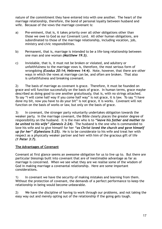nature of the commitment they have entered into with one another. The heart of the marriage relationship, therefore, the bond of personal loyalty between husband and wife. Because of the vows the marriage covenant is:

- a) Pre-eminent, that is, it takes priority over all other obligations other than those we owe to God as our Covenant Lord. All other human obligations, are subordinated to those of the marriage relationship, including vocation, job, ministry and civic responsibilities.
- b) Permanent, that is, marriage is intended to be a life-long relationship between one man and one woman *(Matthew 19:3).*
- c) Inviolable, that is, it must not be broken or violated, and adultery or unfaithfulness to the marriage vows is, therefore, the most serious form of wrongdoing *(Exodus 20:14; Hebrews 14:4).* Note, however, that there are other ways in which the vows at marriage can be, and often are broken. That also is unfaithfulness and breaking covenant.

2) The basis of marriage as covenant is grace. Therefore, it must be founded on grace and will function successfully on the basis of grace. In human terms, grace maybe described as doing good to one another gratuitously, that is, with no strings attached. To say "I will come half way if you come half way" is not grace, it is law. To say "I have done my bit, now you have to do your bit" is not grace, it is works. Covenant will not function on the basis of works or law, but only on the basis of grace.

3) In covenant, the stronger party voluntarily undertakes obligation towards the weaker party. In the marriage covenant, the Bible clearly places the greater degree of responsibility on the husband. It is the man who is to *"leave his father and mother to be united to his wife" (Genesis 2:24).* The husband is the one who is commanded to love his wife and to give himself for her *"as Christ loved the church and gave himself up for her" (Ephesians 5:25).* He is to be considerate to his wife and treat her with respect as a physically weaker partner and heir with him of the gracious gift of life *(1 Peter 3:7).*

# **The Advantages of Covenant**

Covenant at first glance seems an awesome obligation for us to live up to. But there are particular blessings built into covenant that are of inestimable advantage as far as marriage is concerned. When we see what they are we realise some of the wisdom of God in making marriage a covenantal relationship. Here are some important considerations.

1) In covenant we have the security of making mistakes and learning from them. Without the protection of covenant, the demands of a perfect performance to keep the relationship in being would become unbearable.

2) We have the discipline of having to work through our problems, and not taking the easy way out and merely opting out of the relationship if the going gets tough.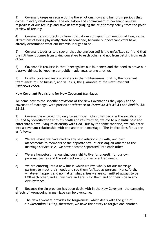3) Covenant keeps us secure during the emotional lows and humdrum periods that comes in every relationship. The obligation and commitment of covenant remains regardless of our feelings and save us from judging the relationship solely from the point of view of feelings.

4) Covenant also protects us from infatuations springing from emotional love, sexual attractions of being physically close to someone, because our covenant vows have already determined what our behaviour ought to be.

5) Covenant leads us to discover that the ungiven self is the unfulfilled self, and that the fulfilment comes from giving ourselves to each other and not from getting from each other.

6) Covenant is realistic in that it recognises our fallenness and the need to prove our trustworthiness by keeping our public made vows to one another.

7) Finally, covenant rests ultimately in the righteousness, that is, the covenant faithfulness of God himself, and in Jesus, the guarantee of the New Covenant *(Hebrews 7:22).*

### **New Covenant Provisions for New Covenant Marriages**

We come now to the specific provisions of the New Covenant as they apply to the covenant of marriage, with particular reference to *Jeremiah 31: 31-34* and *Ezekiel 36: 25-28.*

1) Covenant is entered into only by sacrifice. Christ has become the sacrifice for us, and by identification with his death and resurrection, we die to our sinful past and enter into a new, living relationship with God. But by the same sacrifice, we can enter into a covenant relationship with one another in marriage. The implications for us are as follows:

- a) We are saying we have died to any past relationships with, and past attachments to members of the opposite sex. "Forsaking all others" as the marriage service says, we have become separated unto each other.
- b) We are henceforth renouncing our right to live for oneself, for our own personal desires and the satisfaction of our self-centred needs.
- c) We are entering into a new life in which we live wholly for our marriage partner, to meet their needs and see them fulfilled as persons. Henceforth, whatever happens and no matter what arises we are committed always to be FOR each other, and all we have and are is for them and on their side in any circumstance.

2) Because the sin problem has been dealt with in the New Covenant, the damaging effects of wrongdoing in marriage can be overcome.

a) The New Covenant provides for forgiveness, which deals with the guilt of sin *(Jeremiah 31:34),* therefore, we have the ability to forgive one another.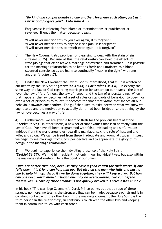### *"Be kind and compassionate to one another, forgiving each other, just as in Christ God forgave you". Ephesians 4:32.*

Forgiveness is releasing from blame or recriminations or punishment or revenge. It ends the matter because it says:

"I will never mention this to you ever again, it is forgiven" "I will never mention this to anyone else again, it is forgiven" "I will never mention this to myself ever again, it is forgiven"

b) The New Covenant also provides for cleansing to deal with the stain of sin (Ezekiel 36:25). Because of this, the relationship can avoid the effects of wrongdoings that often leave a marriage besmirched and tarnished. It is possible for the marriage relationship to be kept as fresh and untainted as a blood cleansed conscience as we learn to continually "walk in the light" with one another (*1 John 1:7).*

3) Under the New Covenant the law of God is internalised, that is, it is written on our hearts by the Holy Spirit *(Jeremiah 31:33; 2 Corinthians 3: 3-6).* In exactly the same way, the law of God regarding marriage can be written on our hearts - the law of love, the law of faithfulness, the law of honour and the law of understanding. When that happens, the law becomes not a set of rules or standards of behaviour to obey, nor even a set of principles to follow, it becomes the inner motivation that shapes all our behaviour towards one another. The gulf that used to exist between what we knew we ought to do and the motivation to actually do it, had been bridged, so that living by the law of love becomes a way of life.

4) Furthermore, we are given a heart of flesh for the previous heart of stone *(Ezekiel 36:26).* In other words, a new set of inner values that is in harmony with the law of God. We have all been programmed with false, misleading and sinful values imbibed from the world around us regarding marriage, sex, the role of husband and wife, and so on. We can be freed from these inadequate and wrong attitudes. Instead, we begin to see marriage from God's perspective and to appreciate the glory of his design in the marriage relationship.

5) We begin to experience the indwelling presence of the Holy Spirit *(Ezekiel 36:27).* We find him resident, not only in our individual lives, but also within the marriage relationship. He is the bond of our union.

*"Two are better than one, because they have a good return for their work: if one falls down, his friend can help him up. But pity on the man who falls and has no one to help him up! Also, if two lie down together, they will keep warm. But how can one keep warm alone? Though one may be overpowered, two can defend themselves. A cord of three strands is not quickly broken." Ecclesiastes 4: 9-12.*

In his book "The Marriage Covenant", Derek Prince points out that a rope of three strands, no more, no less, is the strongest that can be made, because each strand is in constant contact with the other two. In the marriage covenant, the Holy Spirit is the third person in the relationship, in continuous touch with the other two and keeping them in continuous touch with each other.